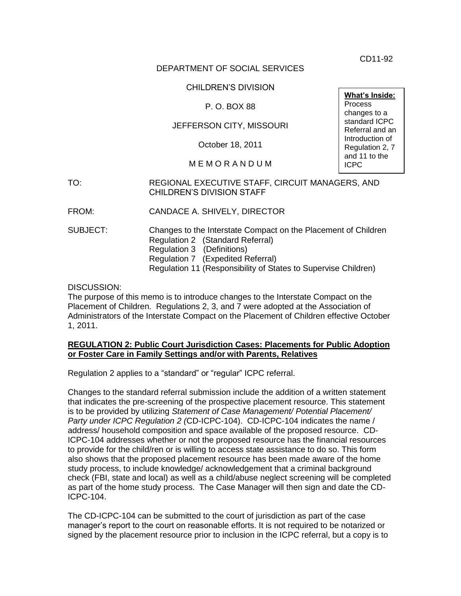CD11-92

#### DEPARTMENT OF SOCIAL SERVICES

#### CHILDREN'S DIVISION

#### P. O. BOX 88

#### JEFFERSON CITY, MISSOURI

October 18, 2011

#### M E M O R A N D U M

#### TO: REGIONAL EXECUTIVE STAFF, CIRCUIT MANAGERS, AND CHILDREN'S DIVISION STAFF

FROM: CANDACE A. SHIVELY, DIRECTOR

SUBJECT: Changes to the Interstate Compact on the Placement of Children Regulation 2 (Standard Referral) Regulation 3 (Definitions) Regulation 7 (Expedited Referral) Regulation 11 (Responsibility of States to Supervise Children)

DISCUSSION:

The purpose of this memo is to introduce changes to the Interstate Compact on the Placement of Children. Regulations 2, 3, and 7 were adopted at the Association of Administrators of the Interstate Compact on the Placement of Children effective October 1, 2011.

#### **REGULATION 2: Public Court Jurisdiction Cases: Placements for Public Adoption or Foster Care in Family Settings and/or with Parents, Relatives**

Regulation 2 applies to a "standard" or "regular" ICPC referral.

Changes to the standard referral submission include the addition of a written statement that indicates the pre-screening of the prospective placement resource. This statement is to be provided by utilizing *Statement of Case Management/ Potential Placement/ Party under ICPC Regulation 2 (*CD-ICPC-104). CD-ICPC-104 indicates the name / address/ household composition and space available of the proposed resource. CD-ICPC-104 addresses whether or not the proposed resource has the financial resources to provide for the child/ren or is willing to access state assistance to do so. This form also shows that the proposed placement resource has been made aware of the home study process, to include knowledge/ acknowledgement that a criminal background check (FBI, state and local) as well as a child/abuse neglect screening will be completed as part of the home study process. The Case Manager will then sign and date the CD-ICPC-104.

The CD-ICPC-104 can be submitted to the court of jurisdiction as part of the case manager's report to the court on reasonable efforts. It is not required to be notarized or signed by the placement resource prior to inclusion in the ICPC referral, but a copy is to

**What's Inside: Process** changes to a standard ICPC Referral and an Introduction of Regulation 2, 7 and 11 to the ICPC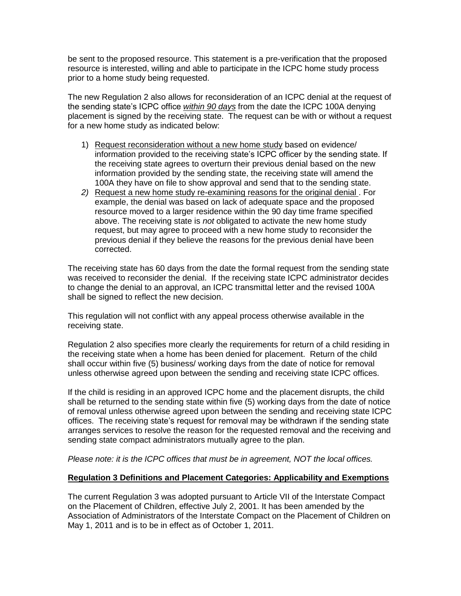be sent to the proposed resource. This statement is a pre-verification that the proposed resource is interested, willing and able to participate in the ICPC home study process prior to a home study being requested.

The new Regulation 2 also allows for reconsideration of an ICPC denial at the request of the sending state's ICPC office *within 90 days* from the date the ICPC 100A denying placement is signed by the receiving state. The request can be with or without a request for a new home study as indicated below:

- 1) Request reconsideration without a new home study based on evidence/ information provided to the receiving state's ICPC officer by the sending state. If the receiving state agrees to overturn their previous denial based on the new information provided by the sending state, the receiving state will amend the 100A they have on file to show approval and send that to the sending state.
- *2)* Request a new home study re-examining reasons for the original denial . For example, the denial was based on lack of adequate space and the proposed resource moved to a larger residence within the 90 day time frame specified above. The receiving state is *not* obligated to activate the new home study request, but may agree to proceed with a new home study to reconsider the previous denial if they believe the reasons for the previous denial have been corrected.

The receiving state has 60 days from the date the formal request from the sending state was received to reconsider the denial. If the receiving state ICPC administrator decides to change the denial to an approval, an ICPC transmittal letter and the revised 100A shall be signed to reflect the new decision.

This regulation will not conflict with any appeal process otherwise available in the receiving state.

Regulation 2 also specifies more clearly the requirements for return of a child residing in the receiving state when a home has been denied for placement. Return of the child shall occur within five (5) business/ working days from the date of notice for removal unless otherwise agreed upon between the sending and receiving state ICPC offices.

If the child is residing in an approved ICPC home and the placement disrupts, the child shall be returned to the sending state within five (5) working days from the date of notice of removal unless otherwise agreed upon between the sending and receiving state ICPC offices. The receiving state's request for removal may be withdrawn if the sending state arranges services to resolve the reason for the requested removal and the receiving and sending state compact administrators mutually agree to the plan.

*Please note: it is the ICPC offices that must be in agreement, NOT the local offices.*

#### **Regulation 3 Definitions and Placement Categories: Applicability and Exemptions**

The current Regulation 3 was adopted pursuant to Article VII of the Interstate Compact on the Placement of Children, effective July 2, 2001. It has been amended by the Association of Administrators of the Interstate Compact on the Placement of Children on May 1, 2011 and is to be in effect as of October 1, 2011.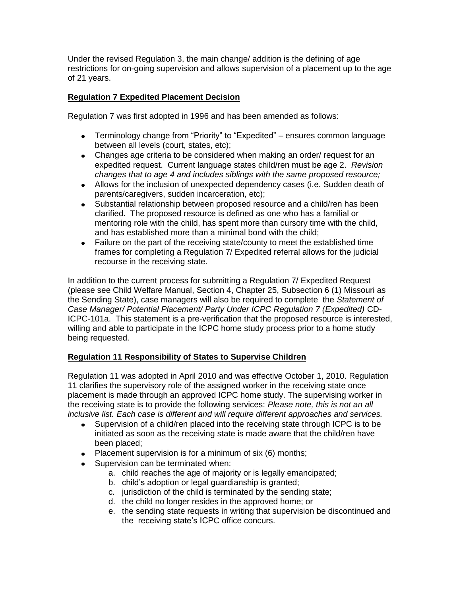Under the revised Regulation 3, the main change/ addition is the defining of age restrictions for on-going supervision and allows supervision of a placement up to the age of 21 years.

### **Regulation 7 Expedited Placement Decision**

Regulation 7 was first adopted in 1996 and has been amended as follows:

- Terminology change from "Priority" to "Expedited" ensures common language between all levels (court, states, etc);
- Changes age criteria to be considered when making an order/ request for an expedited request. Current language states child/ren must be age 2. *Revision changes that to age 4 and includes siblings with the same proposed resource;*
- Allows for the inclusion of unexpected dependency cases (i.e. Sudden death of parents/caregivers, sudden incarceration, etc);
- Substantial relationship between proposed resource and a child/ren has been clarified. The proposed resource is defined as one who has a familial or mentoring role with the child, has spent more than cursory time with the child, and has established more than a minimal bond with the child;
- Failure on the part of the receiving state/county to meet the established time frames for completing a Regulation 7/ Expedited referral allows for the judicial recourse in the receiving state.

In addition to the current process for submitting a Regulation 7/ Expedited Request (please see Child Welfare Manual, Section 4, Chapter 25, Subsection 6 (1) Missouri as the Sending State), case managers will also be required to complete the *Statement of Case Manager/ Potential Placement/ Party Under ICPC Regulation 7 (Expedited)* CD-ICPC-101a. This statement is a pre-verification that the proposed resource is interested, willing and able to participate in the ICPC home study process prior to a home study being requested.

#### **Regulation 11 Responsibility of States to Supervise Children**

Regulation 11 was adopted in April 2010 and was effective October 1, 2010. Regulation 11 clarifies the supervisory role of the assigned worker in the receiving state once placement is made through an approved ICPC home study. The supervising worker in the receiving state is to provide the following services: *Please note, this is not an all inclusive list. Each case is different and will require different approaches and services.*

- Supervision of a child/ren placed into the receiving state through ICPC is to be  $\bullet$ initiated as soon as the receiving state is made aware that the child/ren have been placed;
- Placement supervision is for a minimum of six  $(6)$  months;
- Supervision can be terminated when:
	- a. child reaches the age of majority or is legally emancipated;
	- b. child's adoption or legal guardianship is granted;
	- c. jurisdiction of the child is terminated by the sending state;
	- d. the child no longer resides in the approved home; or
	- e. the sending state requests in writing that supervision be discontinued and the receiving state's ICPC office concurs.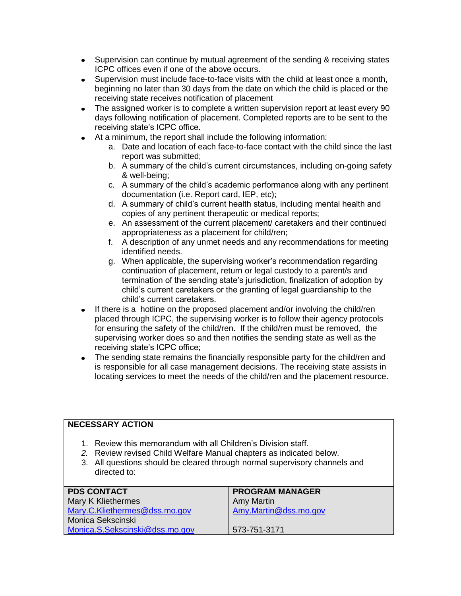- Supervision can continue by mutual agreement of the sending & receiving states ICPC offices even if one of the above occurs.
- Supervision must include face-to-face visits with the child at least once a month, beginning no later than 30 days from the date on which the child is placed or the receiving state receives notification of placement
- The assigned worker is to complete a written supervision report at least every 90 days following notification of placement. Completed reports are to be sent to the receiving state's ICPC office.
- At a minimum, the report shall include the following information:
	- a. Date and location of each face-to-face contact with the child since the last report was submitted;
	- b. A summary of the child's current circumstances, including on-going safety & well-being;
	- c. A summary of the child's academic performance along with any pertinent documentation (i.e. Report card, IEP, etc);
	- d. A summary of child's current health status, including mental health and copies of any pertinent therapeutic or medical reports;
	- e. An assessment of the current placement/ caretakers and their continued appropriateness as a placement for child/ren;
	- f. A description of any unmet needs and any recommendations for meeting identified needs.
	- g. When applicable, the supervising worker's recommendation regarding continuation of placement, return or legal custody to a parent/s and termination of the sending state's jurisdiction, finalization of adoption by child's current caretakers or the granting of legal guardianship to the child's current caretakers.
- If there is a hotline on the proposed placement and/or involving the child/ren  $\bullet$ placed through ICPC, the supervising worker is to follow their agency protocols for ensuring the safety of the child/ren. If the child/ren must be removed, the supervising worker does so and then notifies the sending state as well as the receiving state's ICPC office;
- The sending state remains the financially responsible party for the child/ren and  $\bullet$ is responsible for all case management decisions. The receiving state assists in locating services to meet the needs of the child/ren and the placement resource.

### **NECESSARY ACTION**

- 1. Review this memorandum with all Children's Division staff.
- *2.* Review revised Child Welfare Manual chapters as indicated below.
- 3. All questions should be cleared through normal supervisory channels and directed to:

| <b>PDS CONTACT</b>             | <b>PROGRAM MANAGER</b> |
|--------------------------------|------------------------|
| Mary K Kliethermes             | Amy Martin             |
| Mary.C.Kliethermes@dss.mo.gov  | Amy.Martin@dss.mo.gov  |
| Monica Sekscinski              |                        |
| Monica.S.Sekscinski@dss.mo.gov | 573-751-3171           |